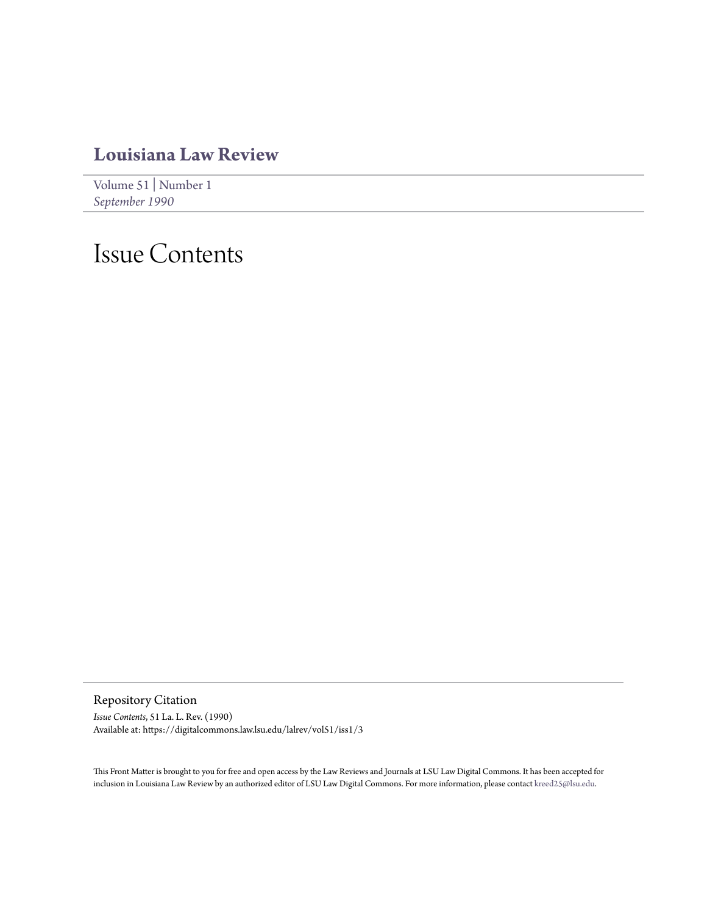## **[Louisiana Law Review](https://digitalcommons.law.lsu.edu/lalrev)**

[Volume 51](https://digitalcommons.law.lsu.edu/lalrev/vol51) | [Number 1](https://digitalcommons.law.lsu.edu/lalrev/vol51/iss1) *[September 1990](https://digitalcommons.law.lsu.edu/lalrev/vol51/iss1)*

## Issue Contents

Repository Citation

*Issue Contents*, 51 La. L. Rev. (1990) Available at: https://digitalcommons.law.lsu.edu/lalrev/vol51/iss1/3

This Front Matter is brought to you for free and open access by the Law Reviews and Journals at LSU Law Digital Commons. It has been accepted for inclusion in Louisiana Law Review by an authorized editor of LSU Law Digital Commons. For more information, please contact [kreed25@lsu.edu](mailto:kreed25@lsu.edu).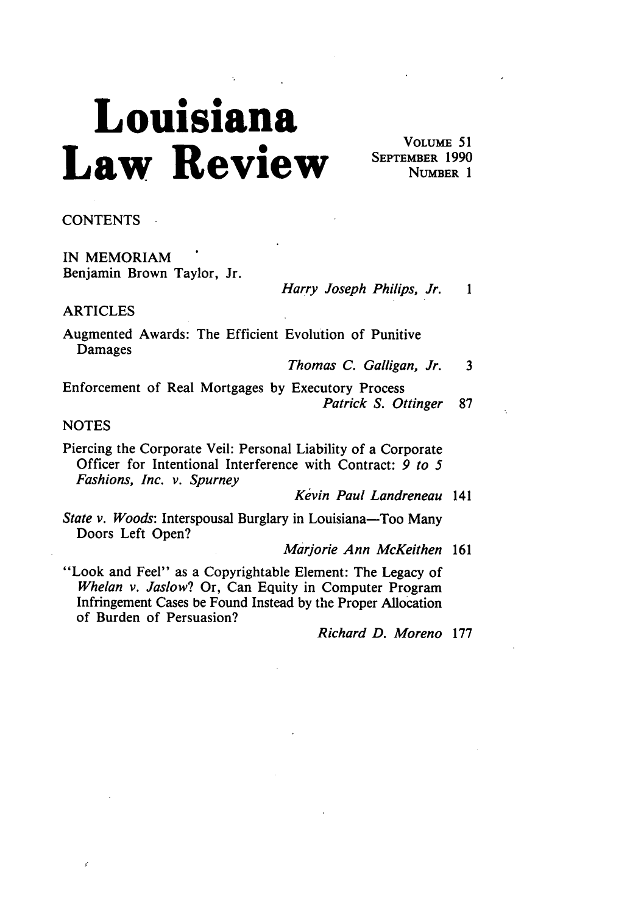## **Louisiana** Law Review SEPTEMBER 1990

**VOLUME 51**<br>SEPTEMBER 1990

**CONTENTS**

IN MEMORIAM Benjamin Brown Taylor, Jr.

*Harry Joseph Philips, Jr. 1*

ARTICLES

Augmented Awards: The Efficient Evolution of Punitive Damages

*Thomas C. Galligan, Jr.* 3

Enforcement of Real Mortgages by Executory Process *Patrick S. Ottinger* <sup>87</sup>

**NOTES** 

Piercing the Corporate Veil: Personal Liability of a Corporate Officer for Intentional Interference with Contract: *9 to 5 Fashions, Inc. v. Spurney*

*Kevin Paul Landreneau* 141

*State v. Woods:* Interspousal Burglary in Louisiana-Too Many Doors Left Open?

*Marjorie Ann McKeithen* 161

"Look and Feel" as a Copyrightable Element: The Legacy of *Whelan v. Jaslow?* Or, Can Equity in Computer Program Infringement Cases be Found Instead by the Proper Allocation of Burden of Persuasion?

*Richard D. Moreno* 177